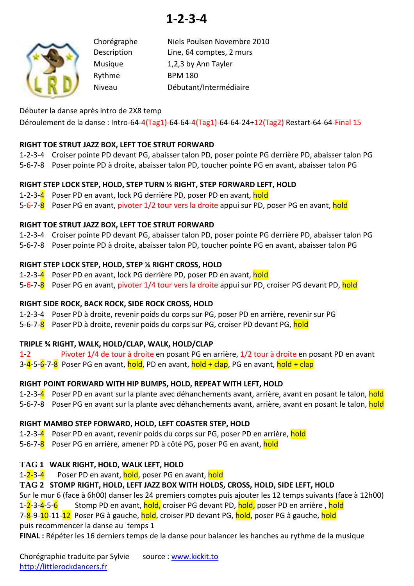# **1-2-3-4**



Chorégraphe Niels Poulsen Novembre 2010 Description Line, 64 comptes, 2 murs Musique 1,2,3 by Ann Tayler Rythme BPM 180 Niveau Débutant/Intermédiaire

Débuter la danse après intro de 2X8 temp

Déroulement de la danse : Intro-64-4(Tag1)-64-64-4(Tag1)-64-64-24+12(Tag2) Restart-64-64-Final 15

#### **RIGHT TOE STRUT JAZZ BOX, LEFT TOE STRUT FORWARD**

- 1-2-3-4 Croiser pointe PD devant PG, abaisser talon PD, poser pointe PG derrière PD, abaisser talon PG
- 5-6-7-8 Poser pointe PD à droite, abaisser talon PD, toucher pointe PG en avant, abaisser talon PG

### **RIGHT STEP LOCK STEP, HOLD, STEP TURN ½ RIGHT, STEP FORWARD LEFT, HOLD**

- 1-2-3-4 Poser PD en avant, lock PG derrière PD, poser PD en avant, hold
- 5-6-7-8 Poser PG en avant, pivoter 1/2 tour vers la droite appui sur PD, poser PG en avant, hold

#### **RIGHT TOE STRUT JAZZ BOX, LEFT TOE STRUT FORWARD**

- 1-2-3-4 Croiser pointe PD devant PG, abaisser talon PD, poser pointe PG derrière PD, abaisser talon PG
- 5-6-7-8 Poser pointe PD à droite, abaisser talon PD, toucher pointe PG en avant, abaisser talon PG

#### **RIGHT STEP LOCK STEP, HOLD, STEP ¼ RIGHT CROSS, HOLD**

- 1-2-3-4 Poser PD en avant, lock PG derrière PD, poser PD en avant, hold
- 5-6-7-8 Poser PG en avant, pivoter 1/4 tour vers la droite appui sur PD, croiser PG devant PD, hold

### **RIGHT SIDE ROCK, BACK ROCK, SIDE ROCK CROSS, HOLD**

- 1-2-3-4 Poser PD à droite, revenir poids du corps sur PG, poser PD en arrière, revenir sur PG
- 5-6-7-8 Poser PD à droite, revenir poids du corps sur PG, croiser PD devant PG, hold

### **TRIPLE ¾ RIGHT, WALK, HOLD/CLAP, WALK, HOLD/CLAP**

1-2 Pivoter 1/4 de tour à droite en posant PG en arrière, 1/2 tour à droite en posant PD en avant 3-4-5-6-7-8 Poser PG en avant, hold, PD en avant, hold + clap, PG en avant, hold + clap

### **RIGHT POINT FORWARD WITH HIP BUMPS, HOLD, REPEAT WITH LEFT, HOLD**

- 1-2-3-4 Poser PD en avant sur la plante avec déhanchements avant, arrière, avant en posant le talon, hold
- 5-6-7-8 Poser PG en avant sur la plante avec déhanchements avant, arrière, avant en posant le talon, hold

### **RIGHT MAMBO STEP FORWARD, HOLD, LEFT COASTER STEP, HOLD**

- 1-2-3-4 Poser PD en avant, revenir poids du corps sur PG, poser PD en arrière, hold
- 5-6-7-8 Poser PG en arrière, amener PD à côté PG, poser PG en avant, hold

### **TAG 1 WALK RIGHT, HOLD, WALK LEFT, HOLD**

## 1-2-3-4 Poser PD en avant, hold, poser PG en avant, hold

### **TAG 2 STOMP RIGHT, HOLD, LEFT JAZZ BOX WITH HOLDS, CROSS, HOLD, SIDE LEFT, HOLD**

Sur le mur 6 (face à 6h00) danser les 24 premiers comptes puis ajouter les 12 temps suivants (face à 12h00)

1-2-3-4-5-6 Stomp PD en avant, hold, croiser PG devant PD, hold, poser PD en arrière, hold

7-8-9-10-11-12 Poser PG à gauche, hold, croiser PD devant PG, hold, poser PG à gauche, hold

puis recommencer la danse au temps 1

**FINAL :** Répéter les 16 derniers temps de la danse pour balancer les hanches au rythme de la musique